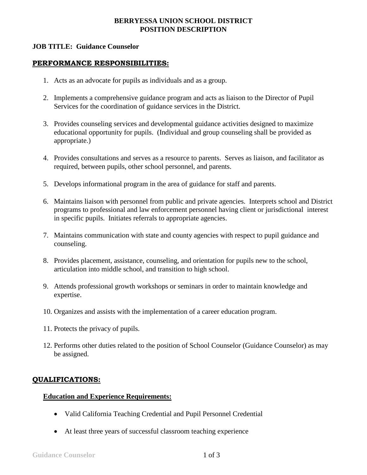# **BERRYESSA UNION SCHOOL DISTRICT POSITION DESCRIPTION**

### **JOB TITLE: Guidance Counselor**

#### **PERFORMANCE RESPONSIBILITIES:**

- 1. Acts as an advocate for pupils as individuals and as a group.
- 2. Implements a comprehensive guidance program and acts as liaison to the Director of Pupil Services for the coordination of guidance services in the District.
- 3. Provides counseling services and developmental guidance activities designed to maximize educational opportunity for pupils. (Individual and group counseling shall be provided as appropriate.)
- 4. Provides consultations and serves as a resource to parents. Serves as liaison, and facilitator as required, between pupils, other school personnel, and parents.
- 5. Develops informational program in the area of guidance for staff and parents.
- 6. Maintains liaison with personnel from public and private agencies. Interprets school and District programs to professional and law enforcement personnel having client or jurisdictional interest in specific pupils. Initiates referrals to appropriate agencies.
- 7. Maintains communication with state and county agencies with respect to pupil guidance and counseling.
- 8. Provides placement, assistance, counseling, and orientation for pupils new to the school, articulation into middle school, and transition to high school.
- 9. Attends professional growth workshops or seminars in order to maintain knowledge and expertise.
- 10. Organizes and assists with the implementation of a career education program.
- 11. Protects the privacy of pupils.
- 12. Performs other duties related to the position of School Counselor (Guidance Counselor) as may be assigned.

# **QUALIFICATIONS:**

#### **Education and Experience Requirements:**

- Valid California Teaching Credential and Pupil Personnel Credential
- At least three years of successful classroom teaching experience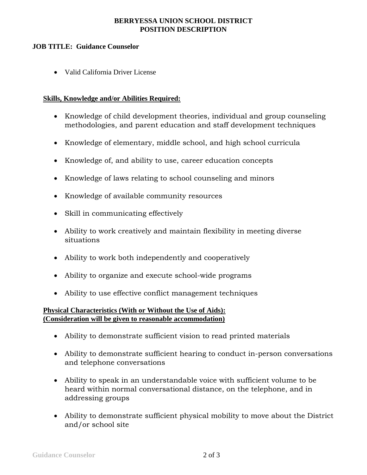# **BERRYESSA UNION SCHOOL DISTRICT POSITION DESCRIPTION**

# **JOB TITLE: Guidance Counselor**

Valid California Driver License

# **Skills, Knowledge and/or Abilities Required:**

- Knowledge of child development theories, individual and group counseling methodologies, and parent education and staff development techniques
- Knowledge of elementary, middle school, and high school curricula
- Knowledge of, and ability to use, career education concepts
- Knowledge of laws relating to school counseling and minors
- Knowledge of available community resources
- Skill in communicating effectively
- Ability to work creatively and maintain flexibility in meeting diverse situations
- Ability to work both independently and cooperatively
- Ability to organize and execute school-wide programs
- Ability to use effective conflict management techniques

### **Physical Characteristics (With or Without the Use of Aids): (Consideration will be given to reasonable accommodation)**

- Ability to demonstrate sufficient vision to read printed materials
- Ability to demonstrate sufficient hearing to conduct in-person conversations and telephone conversations
- Ability to speak in an understandable voice with sufficient volume to be heard within normal conversational distance, on the telephone, and in addressing groups
- Ability to demonstrate sufficient physical mobility to move about the District and/or school site